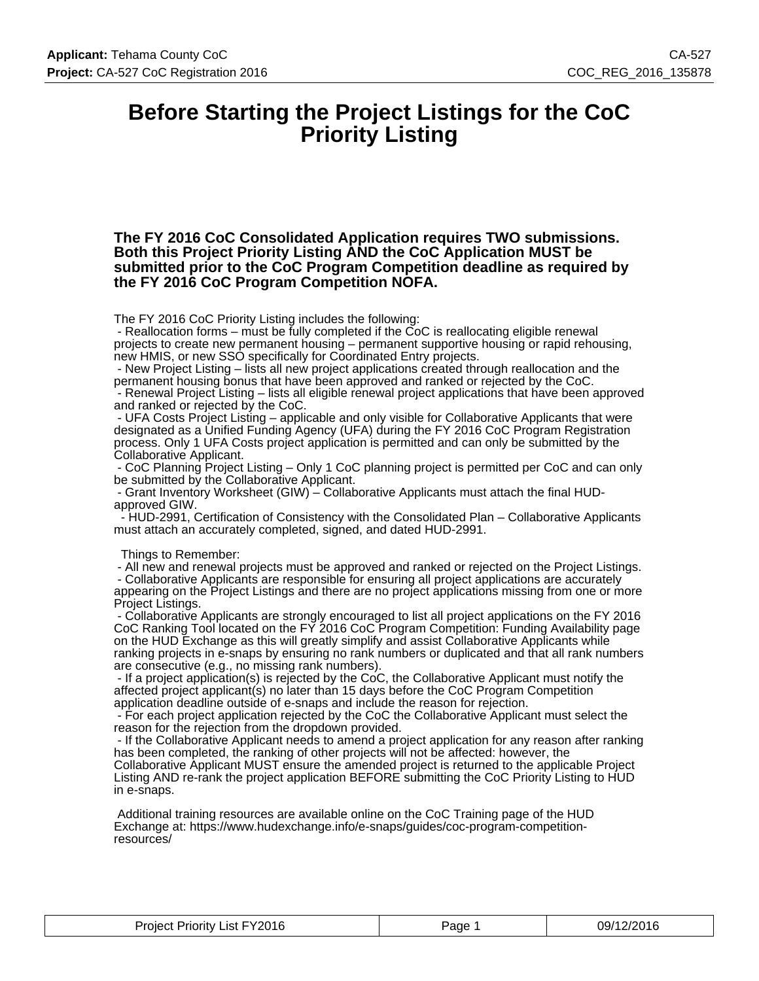#### **Before Starting the Project Listings for the CoC Priority Listing**

**The FY 2016 CoC Consolidated Application requires TWO submissions. Both this Project Priority Listing AND the CoC Application MUST be submitted prior to the CoC Program Competition deadline as required by the FY 2016 CoC Program Competition NOFA.**

The FY 2016 CoC Priority Listing includes the following:

 - Reallocation forms – must be fully completed if the CoC is reallocating eligible renewal projects to create new permanent housing – permanent supportive housing or rapid rehousing, new HMIS, or new SSO specifically for Coordinated Entry projects.

 - New Project Listing – lists all new project applications created through reallocation and the permanent housing bonus that have been approved and ranked or rejected by the CoC. - Renewal Project Listing – lists all eligible renewal project applications that have been approved and ranked or rejected by the CoC.

 - UFA Costs Project Listing – applicable and only visible for Collaborative Applicants that were designated as a Unified Funding Agency (UFA) during the FY 2016 CoC Program Registration process. Only 1 UFA Costs project application is permitted and can only be submitted by the Collaborative Applicant.

 - CoC Planning Project Listing – Only 1 CoC planning project is permitted per CoC and can only be submitted by the Collaborative Applicant.

 - Grant Inventory Worksheet (GIW) – Collaborative Applicants must attach the final HUDapproved GIW.

 - HUD-2991, Certification of Consistency with the Consolidated Plan – Collaborative Applicants must attach an accurately completed, signed, and dated HUD-2991.

Things to Remember:

- All new and renewal projects must be approved and ranked or rejected on the Project Listings.

 - Collaborative Applicants are responsible for ensuring all project applications are accurately appearing on the Project Listings and there are no project applications missing from one or more Project Listings.

 - Collaborative Applicants are strongly encouraged to list all project applications on the FY 2016 CoC Ranking Tool located on the FY 2016 CoC Program Competition: Funding Availability page on the HUD Exchange as this will greatly simplify and assist Collaborative Applicants while ranking projects in e-snaps by ensuring no rank numbers or duplicated and that all rank numbers are consecutive (e.g., no missing rank numbers).

 - If a project application(s) is rejected by the CoC, the Collaborative Applicant must notify the affected project applicant(s) no later than 15 days before the CoC Program Competition application deadline outside of e-snaps and include the reason for rejection.

 - For each project application rejected by the CoC the Collaborative Applicant must select the reason for the rejection from the dropdown provided.

 - If the Collaborative Applicant needs to amend a project application for any reason after ranking has been completed, the ranking of other projects will not be affected: however, the Collaborative Applicant MUST ensure the amended project is returned to the applicable Project Listing AND re-rank the project application BEFORE submitting the CoC Priority Listing to HUD in e-snaps.

 Additional training resources are available online on the CoC Training page of the HUD Exchange at: https://www.hudexchange.info/e-snaps/guides/coc-program-competitionresources/

| <b>Project Priority List FY2016</b> | Page <sup>1</sup> | 09/12/2016 |
|-------------------------------------|-------------------|------------|
|-------------------------------------|-------------------|------------|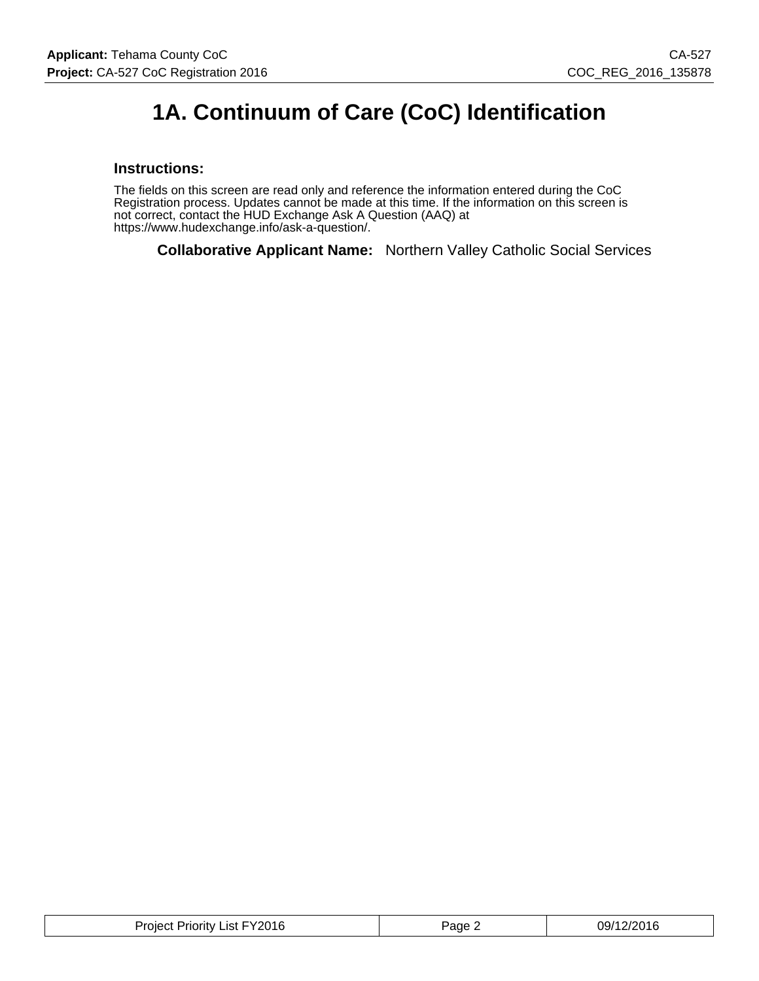### **1A. Continuum of Care (CoC) Identification**

#### **Instructions:**

The fields on this screen are read only and reference the information entered during the CoC Registration process. Updates cannot be made at this time. If the information on this screen is not correct, contact the HUD Exchange Ask A Question (AAQ) at https://www.hudexchange.info/ask-a-question/.

**Collaborative Applicant Name:** Northern Valley Catholic Social Services

| Project Priority List FY2016 | Page 2 | 09/12/2016 |
|------------------------------|--------|------------|
|------------------------------|--------|------------|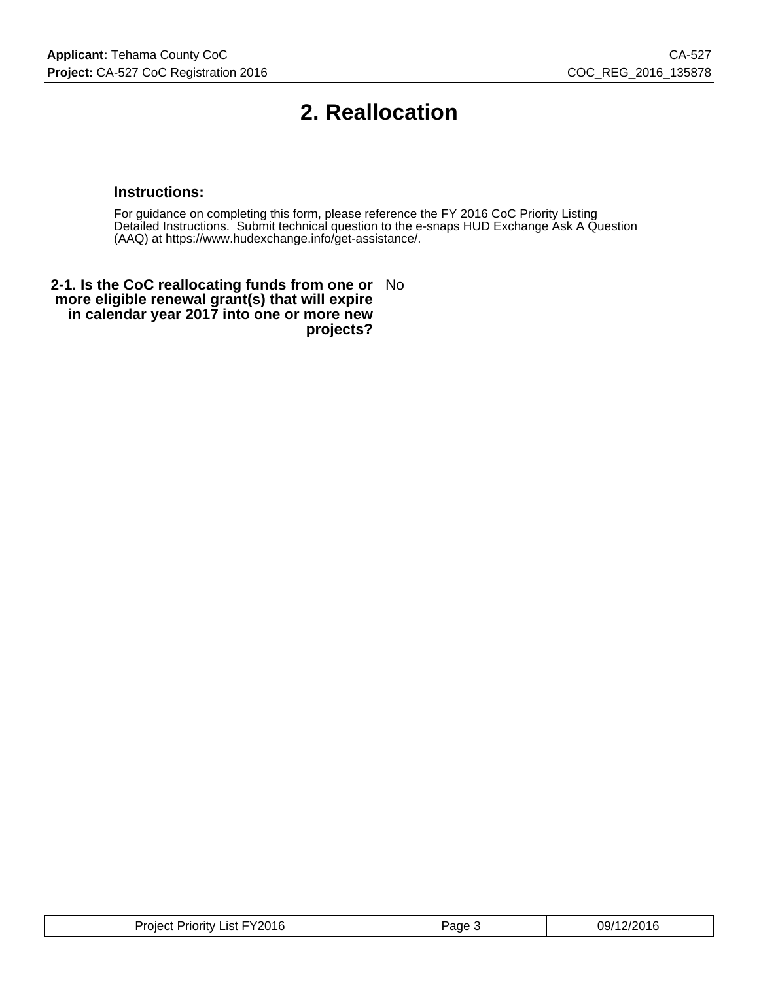### **2. Reallocation**

#### **Instructions:**

For guidance on completing this form, please reference the FY 2016 CoC Priority Listing Detailed Instructions. Submit technical question to the e-snaps HUD Exchange Ask A Question (AAQ) at https://www.hudexchange.info/get-assistance/.

**2-1. Is the CoC reallocating funds from one or** No **more eligible renewal grant(s) that will expire in calendar year 2017 into one or more new projects?**

| List FY2016<br>Project<br>Priority ∴ | Page | 2/2016<br>09/1 |
|--------------------------------------|------|----------------|
|--------------------------------------|------|----------------|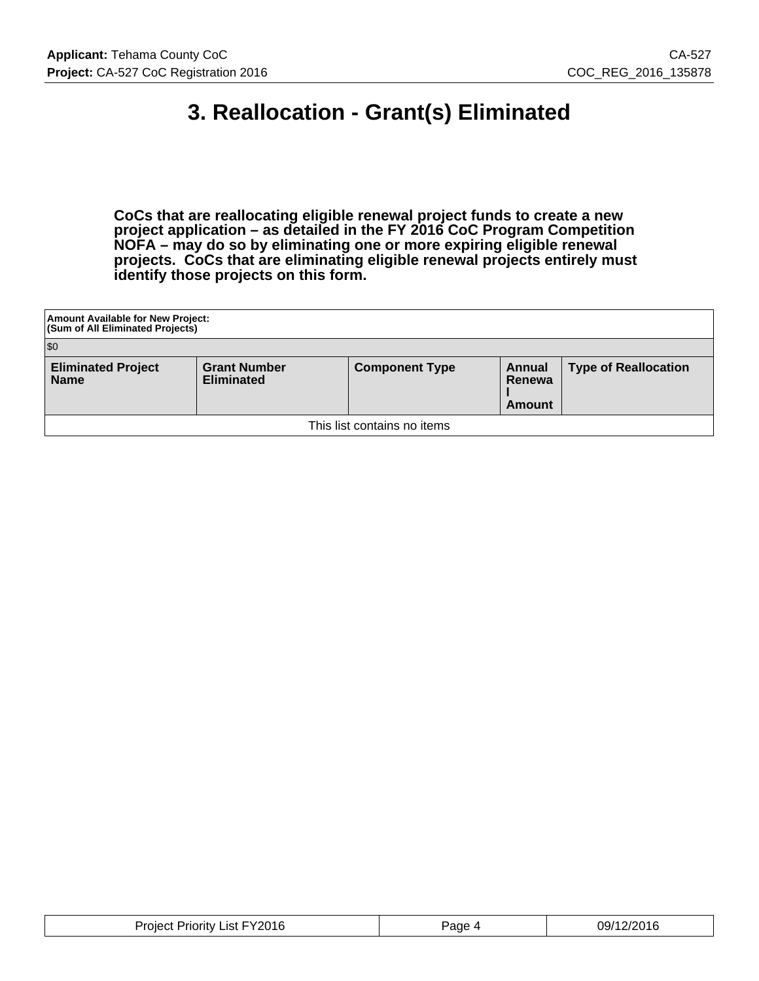### **3. Reallocation - Grant(s) Eliminated**

**CoCs that are reallocating eligible renewal project funds to create a new project application – as detailed in the FY 2016 CoC Program Competition NOFA – may do so by eliminating one or more expiring eligible renewal projects. CoCs that are eliminating eligible renewal projects entirely must identify those projects on this form.**

| Amount Available for New Project:<br>(Sum of All Eliminated Projects)                                                                                                      |  |  |  |  |  |
|----------------------------------------------------------------------------------------------------------------------------------------------------------------------------|--|--|--|--|--|
| $ $ \$0                                                                                                                                                                    |  |  |  |  |  |
| <b>Eliminated Project</b><br><b>Type of Reallocation</b><br><b>Grant Number</b><br><b>Component Type</b><br>Annual<br><b>Eliminated</b><br><b>Name</b><br>Renewa<br>Amount |  |  |  |  |  |
| This list contains no items                                                                                                                                                |  |  |  |  |  |

| <b>Project Priority List FY2016</b><br>_____ | Page | 09/12/2016 |
|----------------------------------------------|------|------------|
|----------------------------------------------|------|------------|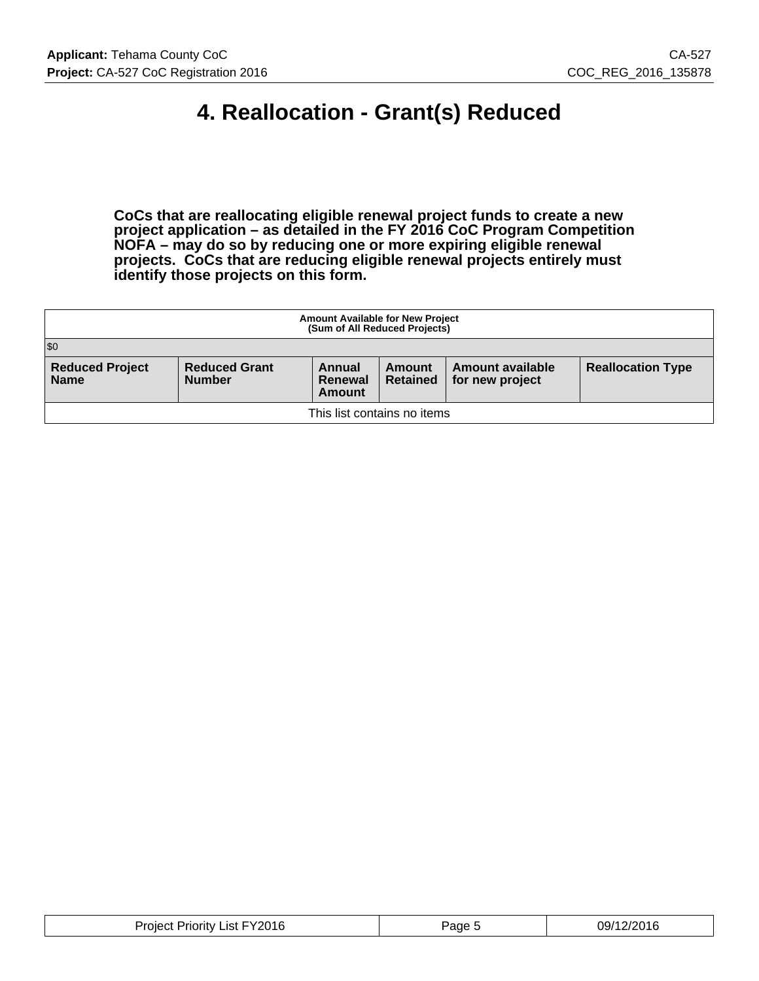### **4. Reallocation - Grant(s) Reduced**

**CoCs that are reallocating eligible renewal project funds to create a new project application – as detailed in the FY 2016 CoC Program Competition NOFA – may do so by reducing one or more expiring eligible renewal projects. CoCs that are reducing eligible renewal projects entirely must identify those projects on this form.**

| <b>Amount Available for New Project</b><br>(Sum of All Reduced Projects)                                                                                                                                      |  |  |  |  |  |  |
|---------------------------------------------------------------------------------------------------------------------------------------------------------------------------------------------------------------|--|--|--|--|--|--|
| $ $ \$0                                                                                                                                                                                                       |  |  |  |  |  |  |
| <b>Reduced Project</b><br><b>Reduced Grant</b><br><b>Reallocation Type</b><br>Amount available<br>Annual<br>Amount<br><b>Number</b><br><b>Name</b><br><b>Retained</b><br>for new project<br>Renewal<br>Amount |  |  |  |  |  |  |
| This list contains no items                                                                                                                                                                                   |  |  |  |  |  |  |

| <b>Project Priority List FY2016</b> | <sup>o</sup> age 5 | 09/12/2016 |
|-------------------------------------|--------------------|------------|
|-------------------------------------|--------------------|------------|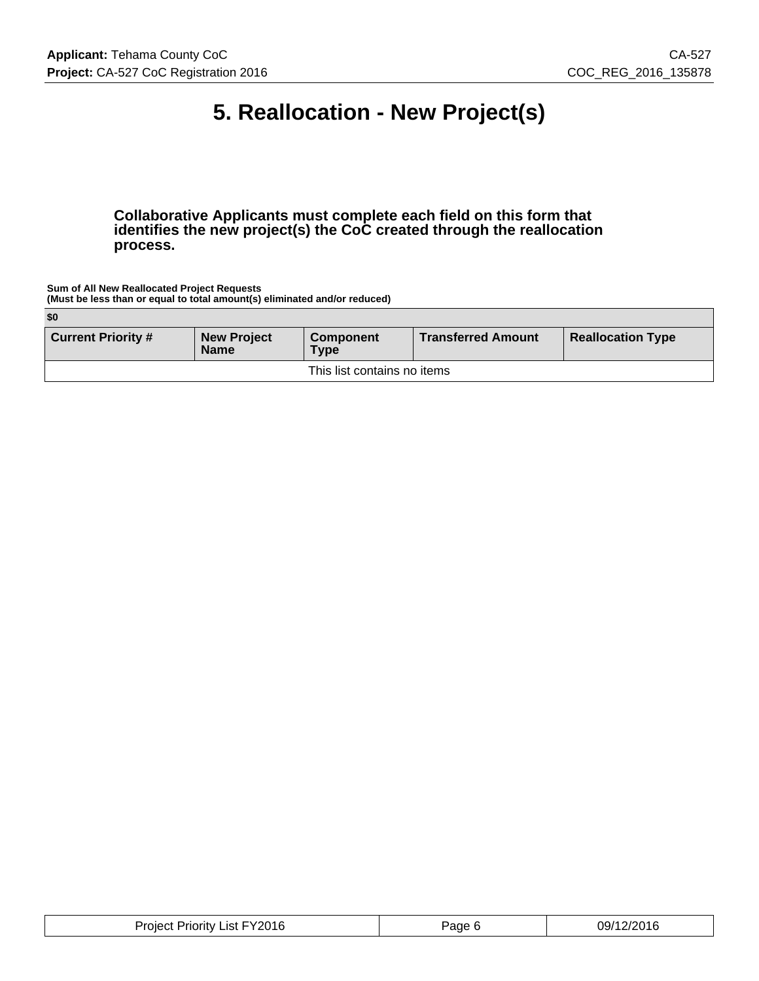### **5. Reallocation - New Project(s)**

**Collaborative Applicants must complete each field on this form that identifies the new project(s) the CoC created through the reallocation process.**

**Sum of All New Reallocated Project Requests (Must be less than or equal to total amount(s) eliminated and/or reduced)**

| \$0                         |                                   |                                 |                           |                          |
|-----------------------------|-----------------------------------|---------------------------------|---------------------------|--------------------------|
| <b>Current Priority #</b>   | <b>New Project</b><br><b>Name</b> | <b>Component</b><br><b>Type</b> | <b>Transferred Amount</b> | <b>Reallocation Type</b> |
| This list contains no items |                                   |                                 |                           |                          |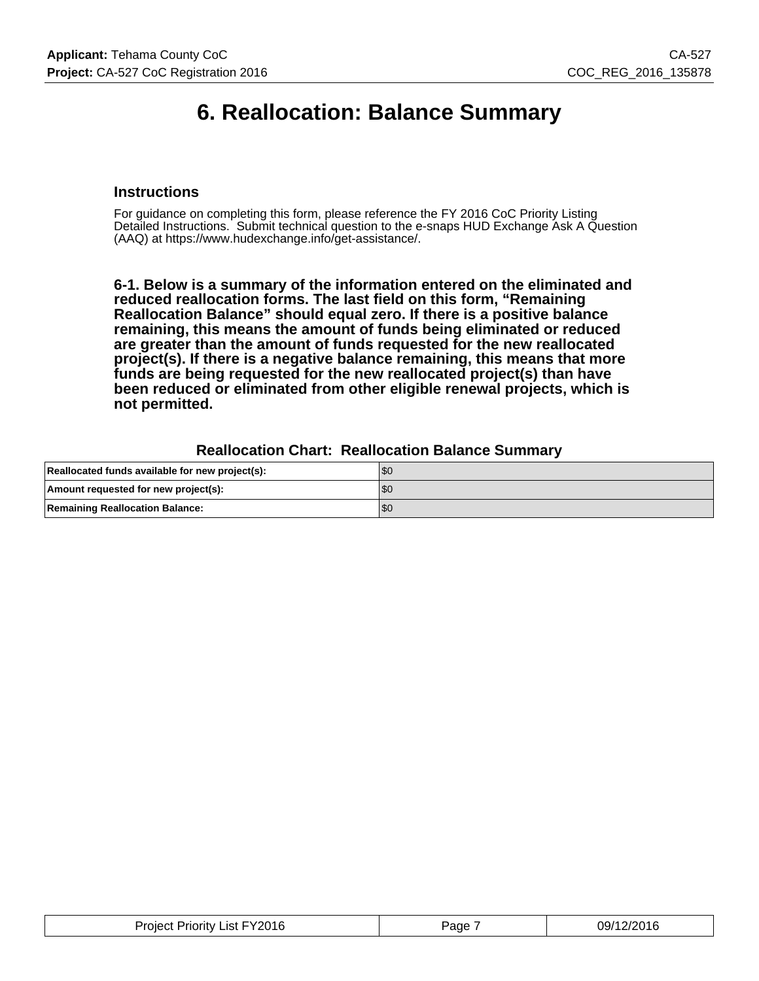#### **6. Reallocation: Balance Summary**

#### **Instructions**

For guidance on completing this form, please reference the FY 2016 CoC Priority Listing Detailed Instructions. Submit technical question to the e-snaps HUD Exchange Ask A Question (AAQ) at https://www.hudexchange.info/get-assistance/.

**6-1. Below is a summary of the information entered on the eliminated and reduced reallocation forms. The last field on this form, "Remaining Reallocation Balance" should equal zero. If there is a positive balance remaining, this means the amount of funds being eliminated or reduced are greater than the amount of funds requested for the new reallocated project(s). If there is a negative balance remaining, this means that more funds are being requested for the new reallocated project(s) than have been reduced or eliminated from other eligible renewal projects, which is not permitted.**

#### **Reallocation Chart: Reallocation Balance Summary**

| Reallocated funds available for new project(s): |     |
|-------------------------------------------------|-----|
| Amount requested for new project(s):            |     |
| <b>Remaining Reallocation Balance:</b>          | \$0 |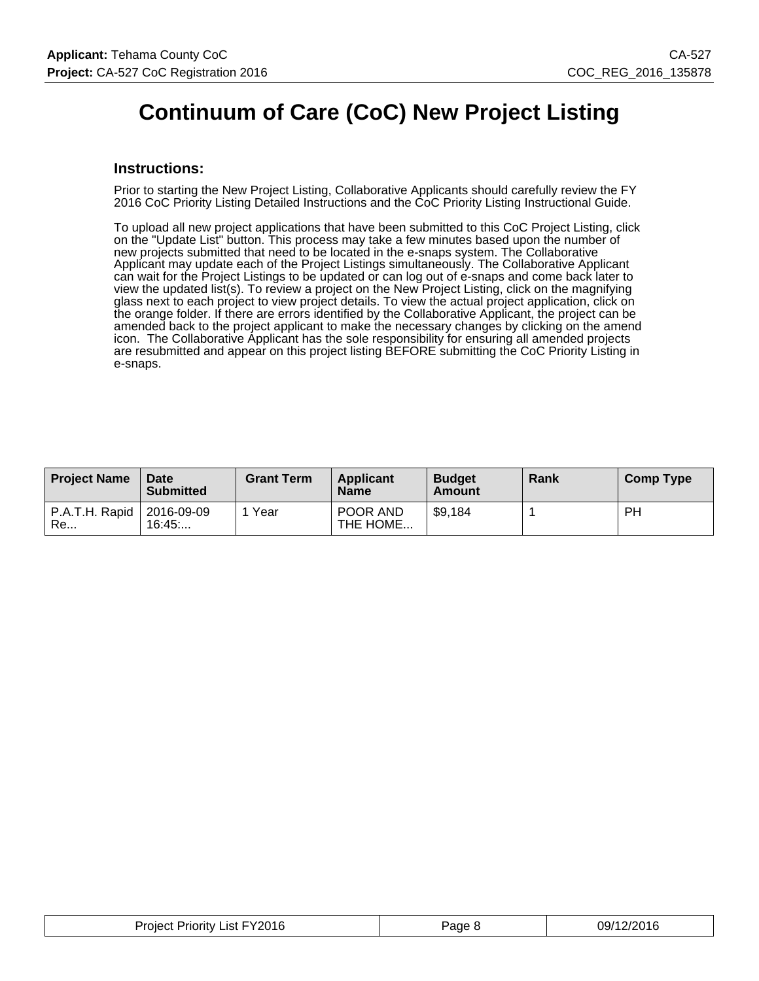### **Continuum of Care (CoC) New Project Listing**

#### **Instructions:**

Prior to starting the New Project Listing, Collaborative Applicants should carefully review the FY 2016 CoC Priority Listing Detailed Instructions and the CoC Priority Listing Instructional Guide.

To upload all new project applications that have been submitted to this CoC Project Listing, click on the "Update List" button. This process may take a few minutes based upon the number of new projects submitted that need to be located in the e-snaps system. The Collaborative Applicant may update each of the Project Listings simultaneously. The Collaborative Applicant can wait for the Project Listings to be updated or can log out of e-snaps and come back later to view the updated list(s). To review a project on the New Project Listing, click on the magnifying glass next to each project to view project details. To view the actual project application, click on the orange folder. If there are errors identified by the Collaborative Applicant, the project can be amended back to the project applicant to make the necessary changes by clicking on the amend icon. The Collaborative Applicant has the sole responsibility for ensuring all amended projects are resubmitted and appear on this project listing BEFORE submitting the CoC Priority Listing in e-snaps.

| <b>Project Name</b>  | Date<br><b>Submitted</b> | <b>Grant Term</b> | Applicant<br><b>Name</b> | <b>Budget</b><br><b>Amount</b> | Rank | <b>Comp Type</b> |
|----------------------|--------------------------|-------------------|--------------------------|--------------------------------|------|------------------|
| P.A.T.H. Rapid<br>Re | 2016-09-09<br>16.45      | Year              | POOR AND<br>THE HOME     | \$9,184                        |      | РH               |

| Project Priority List FY2016 | Page & | 09/12/2016 |
|------------------------------|--------|------------|
|------------------------------|--------|------------|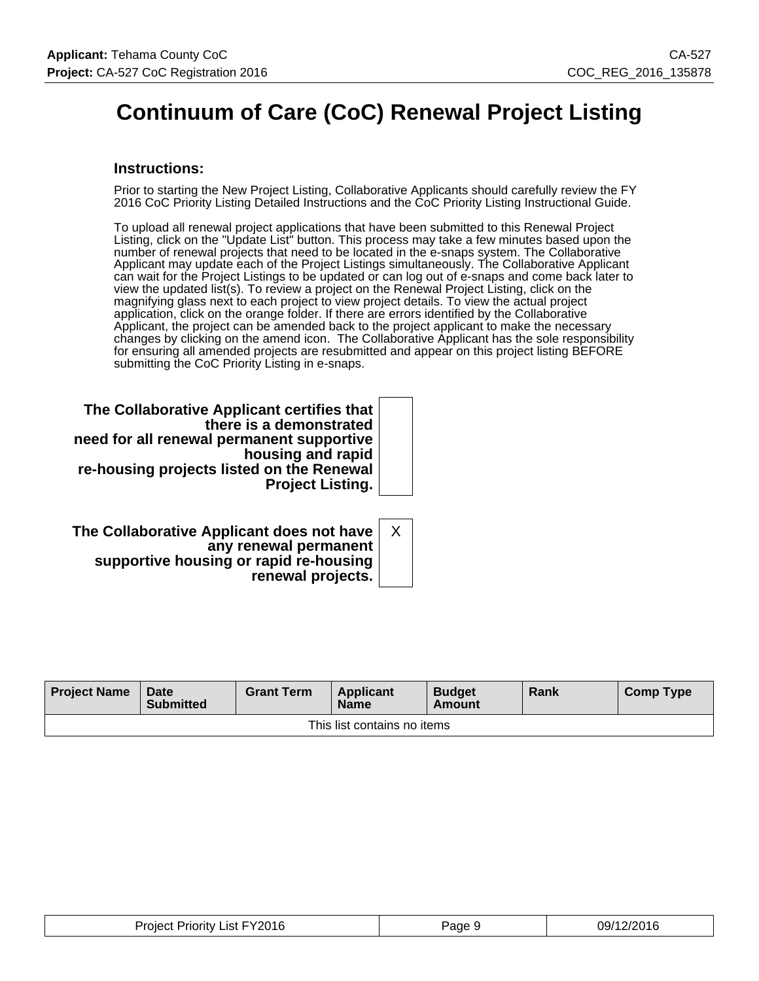### **Continuum of Care (CoC) Renewal Project Listing**

#### **Instructions:**

Prior to starting the New Project Listing, Collaborative Applicants should carefully review the FY 2016 CoC Priority Listing Detailed Instructions and the CoC Priority Listing Instructional Guide.

To upload all renewal project applications that have been submitted to this Renewal Project Listing, click on the "Update List" button. This process may take a few minutes based upon the number of renewal projects that need to be located in the e-snaps system. The Collaborative Applicant may update each of the Project Listings simultaneously. The Collaborative Applicant can wait for the Project Listings to be updated or can log out of e-snaps and come back later to view the updated list(s). To review a project on the Renewal Project Listing, click on the magnifying glass next to each project to view project details. To view the actual project application, click on the orange folder. If there are errors identified by the Collaborative Applicant, the project can be amended back to the project applicant to make the necessary changes by clicking on the amend icon. The Collaborative Applicant has the sole responsibility for ensuring all amended projects are resubmitted and appear on this project listing BEFORE submitting the CoC Priority Listing in e-snaps.

**The Collaborative Applicant certifies that there is a demonstrated need for all renewal permanent supportive housing and rapid re-housing projects listed on the Renewal Project Listing.**

**The Collaborative Applicant does not have any renewal permanent supportive housing or rapid re-housing renewal projects.** X

| <b>Project Name</b>         | Date<br><b>Submitted</b> | <b>Grant Term</b> | <b>Applicant</b><br><b>Name</b> | <b>Budget</b><br><b>Amount</b> | Rank | <b>Comp Type</b> |
|-----------------------------|--------------------------|-------------------|---------------------------------|--------------------------------|------|------------------|
| This list contains no items |                          |                   |                                 |                                |      |                  |

| <b>Project Priority List FY2016</b> | Page 9 | 09/12/2016 |
|-------------------------------------|--------|------------|
|-------------------------------------|--------|------------|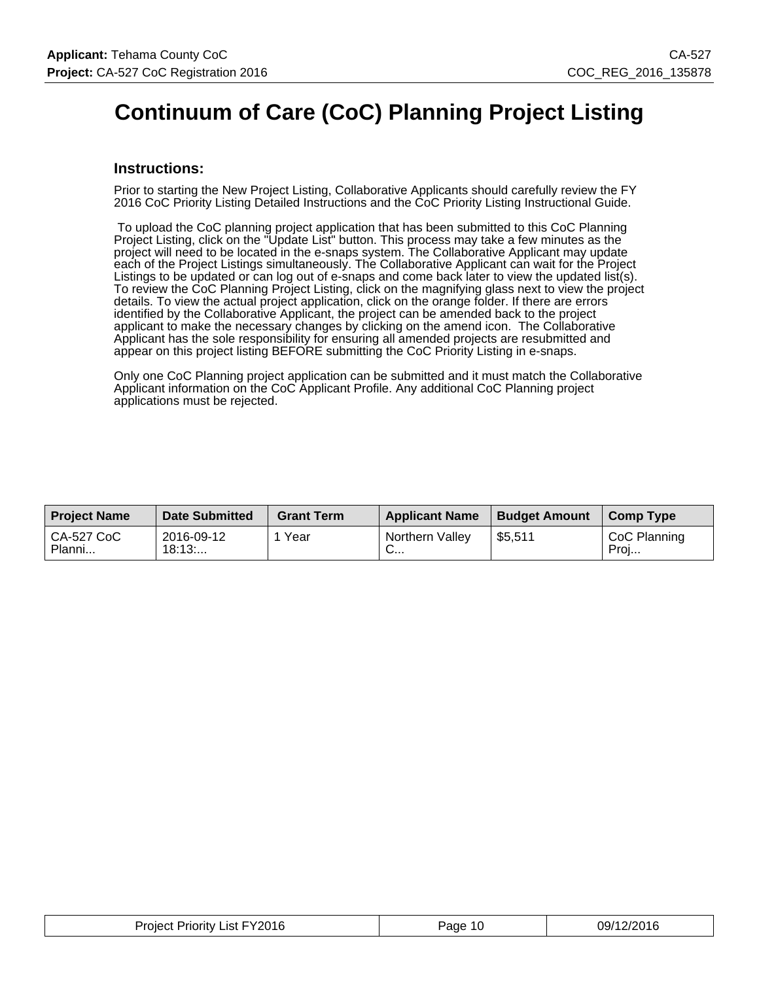### **Continuum of Care (CoC) Planning Project Listing**

#### **Instructions:**

Prior to starting the New Project Listing, Collaborative Applicants should carefully review the FY 2016 CoC Priority Listing Detailed Instructions and the CoC Priority Listing Instructional Guide.

 To upload the CoC planning project application that has been submitted to this CoC Planning Project Listing, click on the "Update List" button. This process may take a few minutes as the project will need to be located in the e-snaps system. The Collaborative Applicant may update each of the Project Listings simultaneously. The Collaborative Applicant can wait for the Project Listings to be updated or can log out of e-snaps and come back later to view the updated list(s). To review the CoC Planning Project Listing, click on the magnifying glass next to view the project details. To view the actual project application, click on the orange folder. If there are errors identified by the Collaborative Applicant, the project can be amended back to the project applicant to make the necessary changes by clicking on the amend icon. The Collaborative Applicant has the sole responsibility for ensuring all amended projects are resubmitted and appear on this project listing BEFORE submitting the CoC Priority Listing in e-snaps.

Only one CoC Planning project application can be submitted and it must match the Collaborative Applicant information on the CoC Applicant Profile. Any additional CoC Planning project applications must be rejected.

| <b>Project Name</b>  | <b>Date Submitted</b> | <b>Grant Term</b> | <b>Applicant Name</b> | <b>Budget Amount</b> | <b>Comp Type</b>     |
|----------------------|-----------------------|-------------------|-----------------------|----------------------|----------------------|
| CA-527 CoC<br>Planni | 2016-09-12<br>18:13   | Year              | Northern Vallev<br>◡… | \$5,511              | CoC Planning<br>Proj |

| Project Priority List FY2016 | Page 10 | 09/12/2016 |
|------------------------------|---------|------------|
|------------------------------|---------|------------|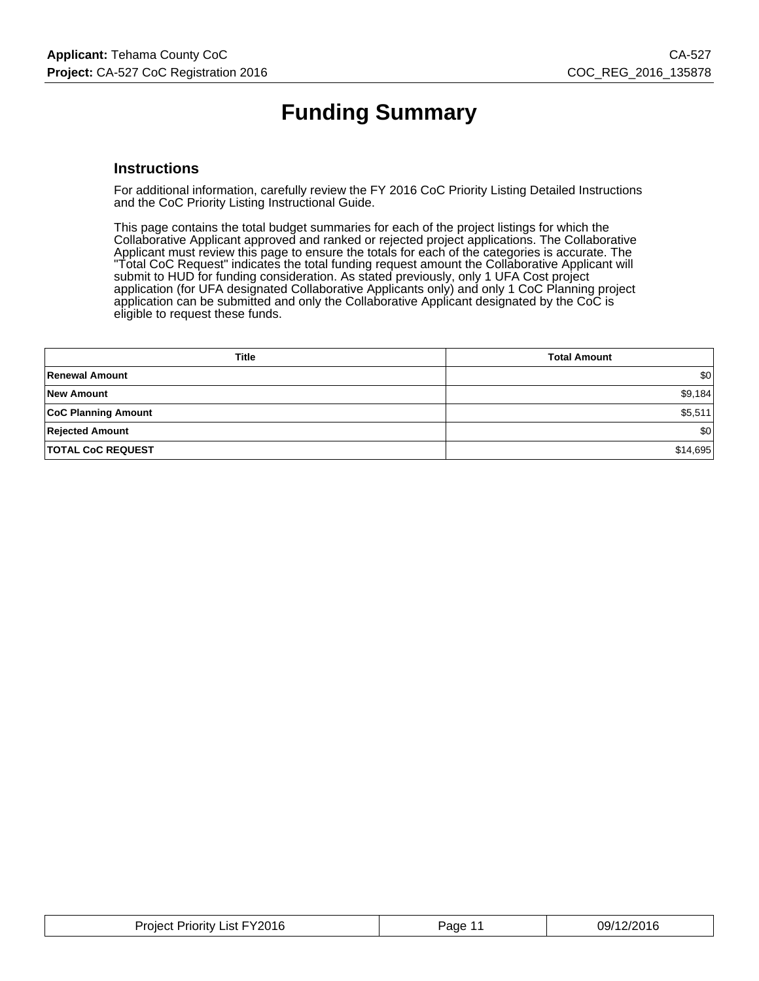## **Funding Summary**

#### **Instructions**

For additional information, carefully review the FY 2016 CoC Priority Listing Detailed Instructions and the CoC Priority Listing Instructional Guide.

This page contains the total budget summaries for each of the project listings for which the Collaborative Applicant approved and ranked or rejected project applications. The Collaborative Applicant must review this page to ensure the totals for each of the categories is accurate. The "Total CoC Request" indicates the total funding request amount the Collaborative Applicant will submit to HUD for funding consideration. As stated previously, only 1 UFA Cost project application (for UFA designated Collaborative Applicants only) and only 1 CoC Planning project application can be submitted and only the Collaborative Applicant designated by the CoC is eligible to request these funds.

| <b>Title</b>               | <b>Total Amount</b> |
|----------------------------|---------------------|
| Renewal Amount             | \$0                 |
| New Amount                 | \$9,184             |
| <b>CoC Planning Amount</b> | \$5,511             |
| <b>Rejected Amount</b>     | \$0                 |
| <b>TOTAL CoC REQUEST</b>   | \$14,695            |

| <b>Project Priority List FY2016</b> | Page 11 | 09/12/2016 |
|-------------------------------------|---------|------------|
|-------------------------------------|---------|------------|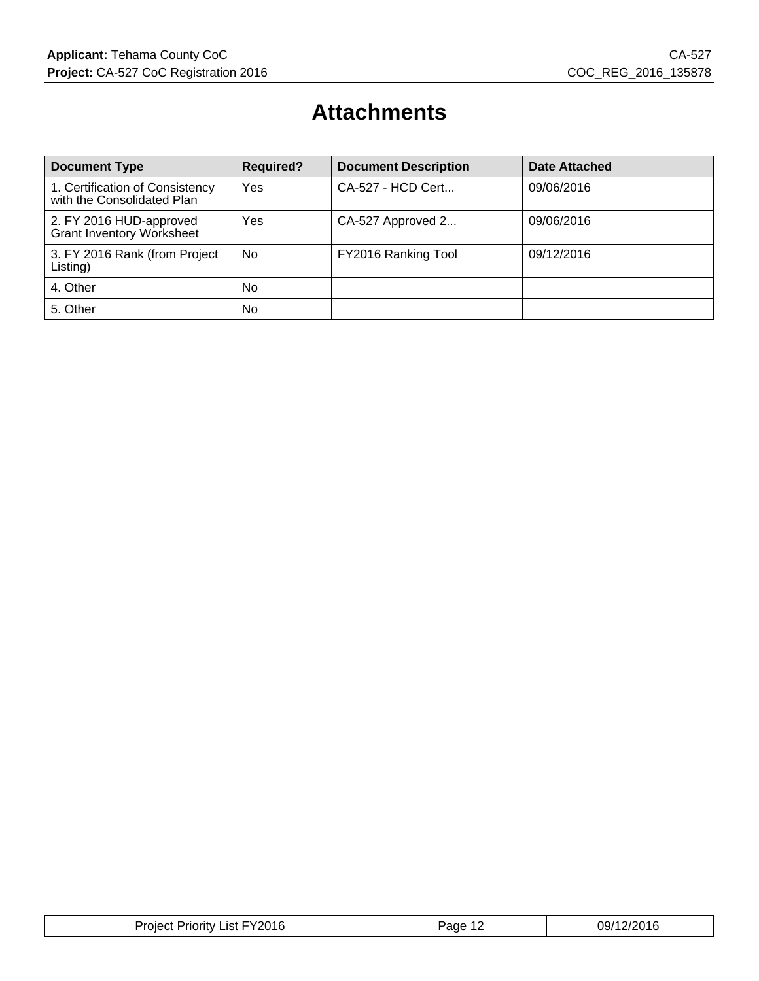### **Attachments**

| <b>Document Type</b>                                          | <b>Required?</b> | <b>Document Description</b> | Date Attached |
|---------------------------------------------------------------|------------------|-----------------------------|---------------|
| 1. Certification of Consistency<br>with the Consolidated Plan | Yes              | CA-527 - HCD Cert           | 09/06/2016    |
| 2. FY 2016 HUD-approved<br><b>Grant Inventory Worksheet</b>   | Yes              | CA-527 Approved 2           | 09/06/2016    |
| 3. FY 2016 Rank (from Project<br>Listing)                     | N <sub>0</sub>   | FY2016 Ranking Tool         | 09/12/2016    |
| 4. Other                                                      | No.              |                             |               |
| 5. Other                                                      | <b>No</b>        |                             |               |

| List FY2016<br>Project<br>Priority. | Page | 2/2016<br>09/1 |
|-------------------------------------|------|----------------|
|-------------------------------------|------|----------------|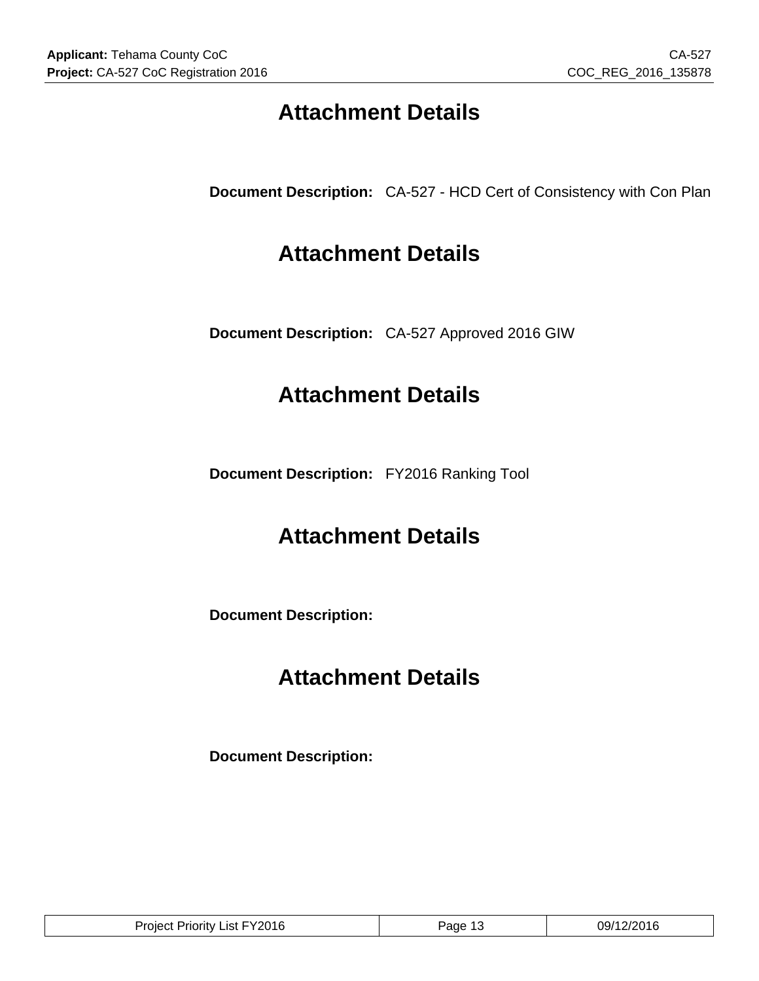### **Attachment Details**

**Document Description:** CA-527 - HCD Cert of Consistency with Con Plan

### **Attachment Details**

**Document Description:** CA-527 Approved 2016 GIW

## **Attachment Details**

**Document Description:** FY2016 Ranking Tool

# **Attachment Details**

**Document Description:**

# **Attachment Details**

**Document Description:**

| Y2016 <sup>-</sup><br>1.0.01<br>.ıst i<br>'rıorıtv<br>mect<br>$\sim$ $\sim$ $\sim$ $\sim$ $\sim$ $\sim$ $\sim$<br>____ |  | 79, |
|------------------------------------------------------------------------------------------------------------------------|--|-----|
|------------------------------------------------------------------------------------------------------------------------|--|-----|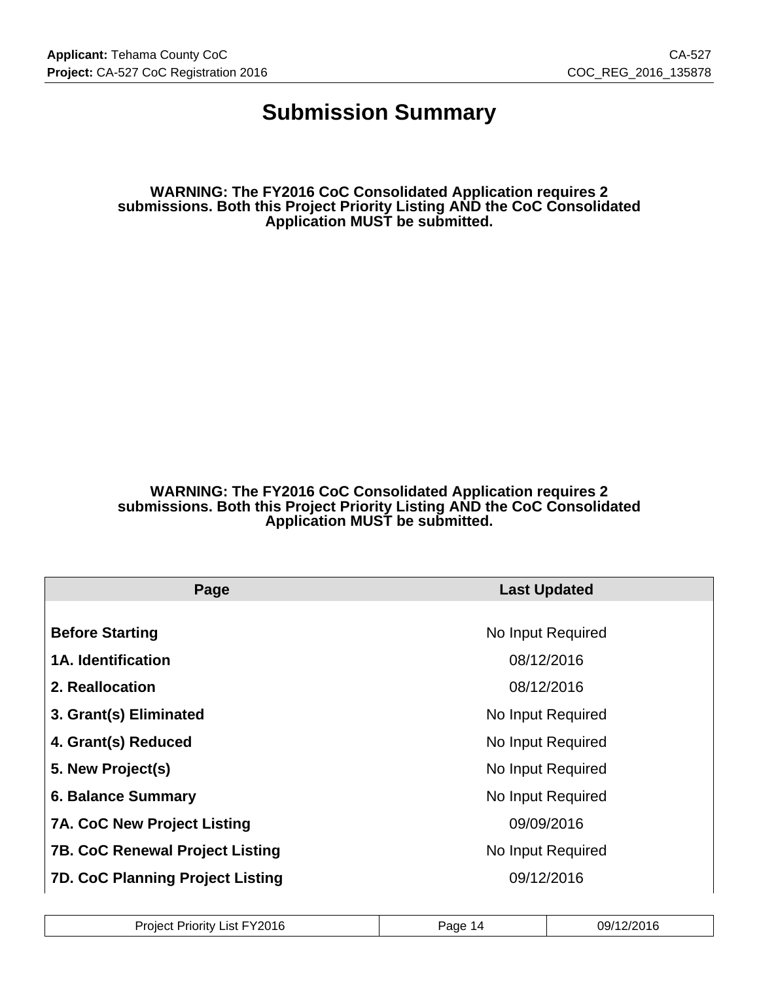#### **Submission Summary**

**WARNING: The FY2016 CoC Consolidated Application requires 2 submissions. Both this Project Priority Listing AND the CoC Consolidated Application MUST be submitted.**

#### **WARNING: The FY2016 CoC Consolidated Application requires 2 submissions. Both this Project Priority Listing AND the CoC Consolidated Application MUST be submitted.**

| Page                                    | <b>Last Updated</b> |  |
|-----------------------------------------|---------------------|--|
|                                         |                     |  |
| <b>Before Starting</b>                  | No Input Required   |  |
| <b>1A. Identification</b>               | 08/12/2016          |  |
| 2. Reallocation                         | 08/12/2016          |  |
| 3. Grant(s) Eliminated                  | No Input Required   |  |
| 4. Grant(s) Reduced                     | No Input Required   |  |
| 5. New Project(s)                       | No Input Required   |  |
| <b>6. Balance Summary</b>               | No Input Required   |  |
| <b>7A. CoC New Project Listing</b>      | 09/09/2016          |  |
| <b>7B. CoC Renewal Project Listing</b>  | No Input Required   |  |
| <b>7D. CoC Planning Project Listing</b> | 09/12/2016          |  |

| <b>Project Priority List FY2016</b> | Page 14 | 09/12/2016 |
|-------------------------------------|---------|------------|
|-------------------------------------|---------|------------|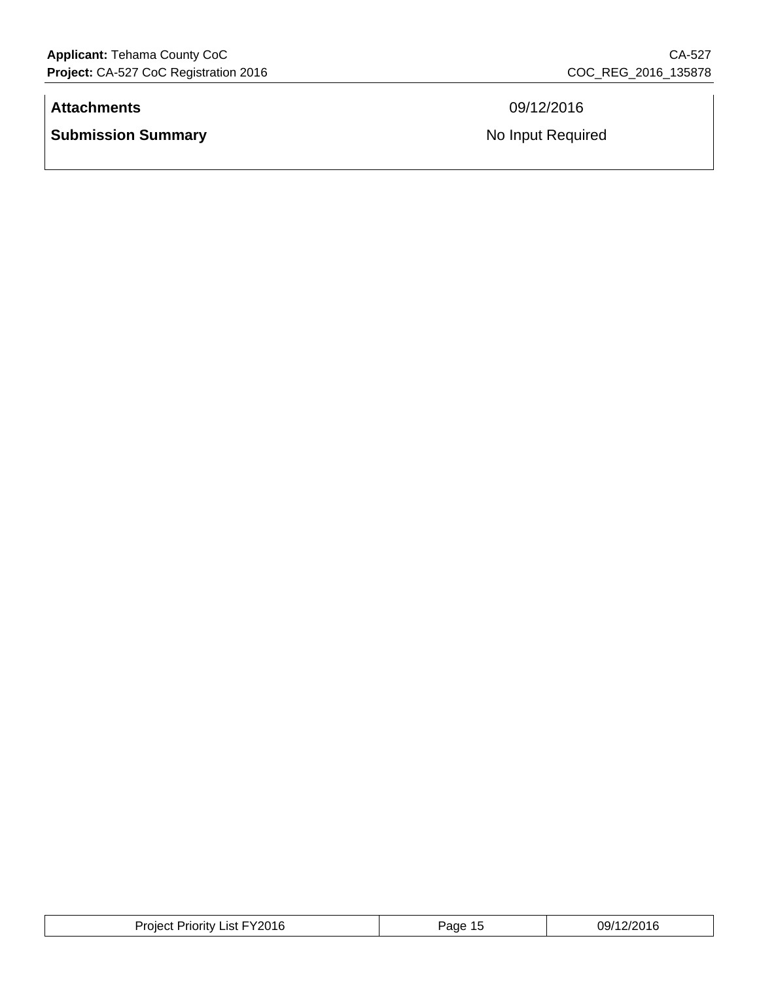#### **Attachments** 09/12/2016

**Submission Summary No Input Required No Input Required** 

| Project Priority List FY2016 | Page<br>ں ا | 09/12/2016 |
|------------------------------|-------------|------------|
|------------------------------|-------------|------------|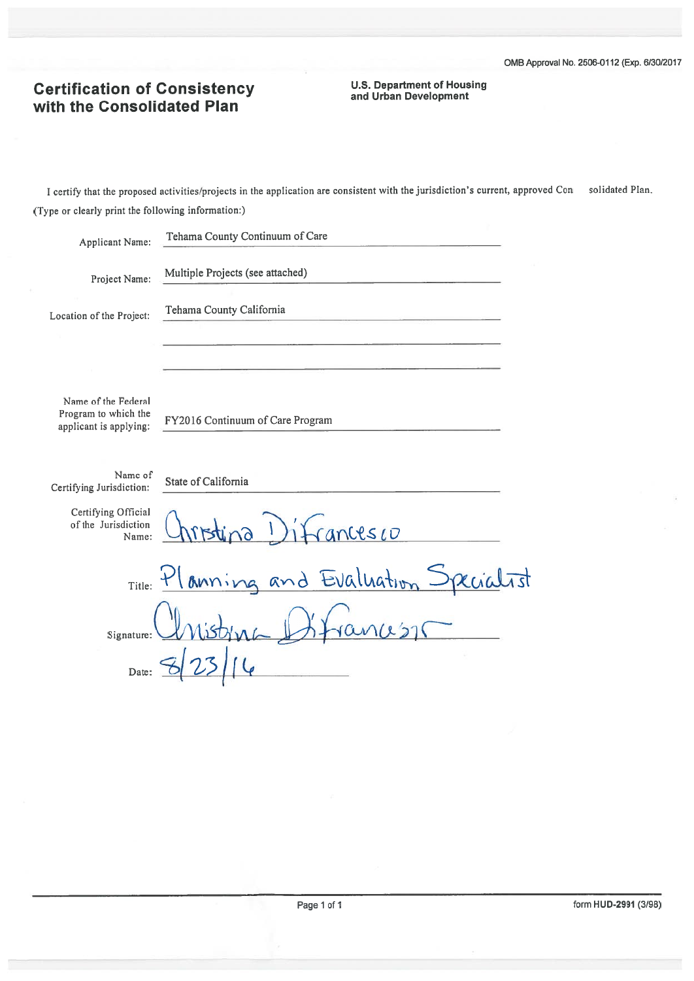# **Certification of Consistency**<br>with the Consolidated Plan

**U.S. Department of Housing<br>and Urban Development** 

I certify that the proposed activities/projects in the application are consistent with the jurisdiction's current, approved Con solidated Plan. (Type or clearly print the following information:)

| Applicant Name:                                                       | Tehama County Continuum of Care  |  |
|-----------------------------------------------------------------------|----------------------------------|--|
| Project Name:                                                         | Multiple Projects (see attached) |  |
| Location of the Project:                                              | Tehama County California         |  |
|                                                                       |                                  |  |
| Name of the Federal<br>Program to which the<br>applicant is applying: | FY2016 Continuum of Care Program |  |
|                                                                       |                                  |  |
| Name of<br>Certifying Jurisdiction:                                   | State of California              |  |
| Certifying Official<br>of the Jurisdiction<br>Name:                   | $)$ ifrancesco<br>sin a          |  |
| Title:                                                                | anning and Evaluation            |  |
| Signature:                                                            |                                  |  |
|                                                                       |                                  |  |